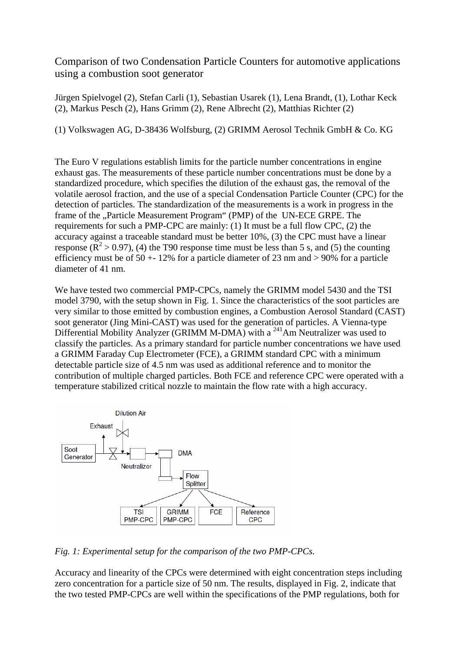Comparison of two Condensation Particle Counters for automotive applications using a combustion soot generator

Jürgen Spielvogel (2), Stefan Carli (1), Sebastian Usarek (1), Lena Brandt, (1), Lothar Keck (2), Markus Pesch (2), Hans Grimm (2), Rene Albrecht (2), Matthias Richter (2)

(1) Volkswagen AG, D-38436 Wolfsburg, (2) GRIMM Aerosol Technik GmbH & Co. KG

The Euro V regulations establish limits for the particle number concentrations in engine exhaust gas. The measurements of these particle number concentrations must be done by a standardized procedure, which specifies the dilution of the exhaust gas, the removal of the volatile aerosol fraction, and the use of a special Condensation Particle Counter (CPC) for the detection of particles. The standardization of the measurements is a work in progress in the frame of the "Particle Measurement Program" (PMP) of the UN-ECE GRPE. The requirements for such a PMP-CPC are mainly: (1) It must be a full flow CPC, (2) the accuracy against a traceable standard must be better 10%, (3) the CPC must have a linear response ( $\mathbb{R}^2$  > 0.97), (4) the T90 response time must be less than 5 s, and (5) the counting efficiency must be of  $50 + 12\%$  for a particle diameter of 23 nm and  $> 90\%$  for a particle diameter of 41 nm.

We have tested two commercial PMP-CPCs, namely the GRIMM model 5430 and the TSI model 3790, with the setup shown in Fig. 1. Since the characteristics of the soot particles are very similar to those emitted by combustion engines, a Combustion Aerosol Standard (CAST) soot generator (Jing Mini-CAST) was used for the generation of particles. A Vienna-type Differential Mobility Analyzer (GRIMM M-DMA) with a  $^{241}$ Am Neutralizer was used to classify the particles. As a primary standard for particle number concentrations we have used a GRIMM Faraday Cup Electrometer (FCE), a GRIMM standard CPC with a minimum detectable particle size of 4.5 nm was used as additional reference and to monitor the contribution of multiple charged particles. Both FCE and reference CPC were operated with a temperature stabilized critical nozzle to maintain the flow rate with a high accuracy.



*Fig. 1: Experimental setup for the comparison of the two PMP-CPCs.* 

Accuracy and linearity of the CPCs were determined with eight concentration steps including zero concentration for a particle size of 50 nm. The results, displayed in Fig. 2, indicate that the two tested PMP-CPCs are well within the specifications of the PMP regulations, both for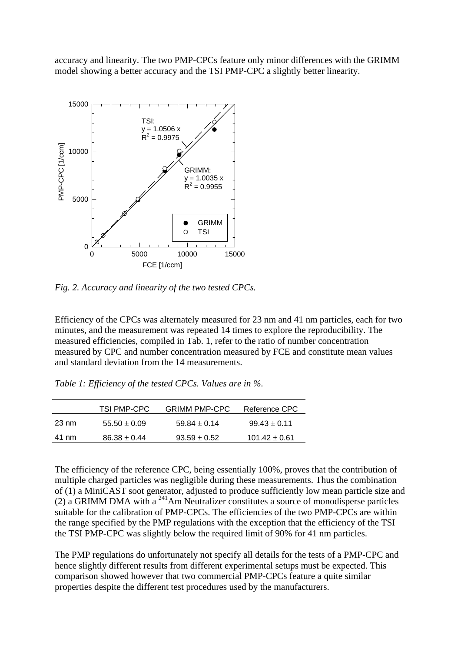accuracy and linearity. The two PMP-CPCs feature only minor differences with the GRIMM model showing a better accuracy and the TSI PMP-CPC a slightly better linearity.



*Fig. 2. Accuracy and linearity of the two tested CPCs.* 

Efficiency of the CPCs was alternately measured for 23 nm and 41 nm particles, each for two minutes, and the measurement was repeated 14 times to explore the reproducibility. The measured efficiencies, compiled in Tab. 1, refer to the ratio of number concentration measured by CPC and number concentration measured by FCE and constitute mean values and standard deviation from the 14 measurements.

*Table 1: Efficiency of the tested CPCs. Values are in %.* 

|       | <b>TSI PMP-CPC</b> | <b>GRIMM PMP-CPC</b> | Reference CPC     |
|-------|--------------------|----------------------|-------------------|
| 23 nm | $55.50 \pm 0.09$   | $59.84 + 0.14$       | $99.43 \pm 0.11$  |
| 41 nm | $86.38 \pm 0.44$   | $93.59 \pm 0.52$     | $101.42 \pm 0.61$ |

The efficiency of the reference CPC, being essentially 100%, proves that the contribution of multiple charged particles was negligible during these measurements. Thus the combination of (1) a MiniCAST soot generator, adjusted to produce sufficiently low mean particle size and (2) a GRIMM DMA with a  $^{241}$ Am Neutralizer constitutes a source of monodisperse particles suitable for the calibration of PMP-CPCs. The efficiencies of the two PMP-CPCs are within the range specified by the PMP regulations with the exception that the efficiency of the TSI the TSI PMP-CPC was slightly below the required limit of 90% for 41 nm particles.

The PMP regulations do unfortunately not specify all details for the tests of a PMP-CPC and hence slightly different results from different experimental setups must be expected. This comparison showed however that two commercial PMP-CPCs feature a quite similar properties despite the different test procedures used by the manufacturers.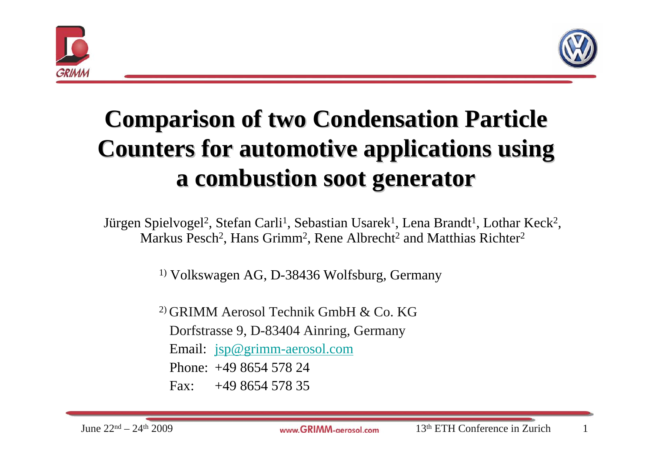



# **Comparison of two Condensation Particle Comparison of two Condensation Particle Counters for automotive applications using Counters for automotive applications using a combustion soot generator a combustion soot generator**

Jürgen Spielvogel<sup>2</sup>, Stefan Carli<sup>1</sup>, Sebastian Usarek<sup>1</sup>, Lena Brandt<sup>1</sup>, Lothar Keck<sup>2</sup>, Markus Pesch<sup>2</sup>, Hans Grimm<sup>2</sup>, Rene Albrecht<sup>2</sup> and Matthias Richter<sup>2</sup>

1) Volkswagen AG, D-38436 Wolfsburg, Germany

2) GRIMM Aerosol Technik GmbH & Co. KGDorfstrasse 9, D-83404 Ainring, Germany Email: [jsp@grimm-aerosol.com](mailto:jsp@grimm-aerosol.com) Phone: +49 8654 578 24Fax:  $+49865457835$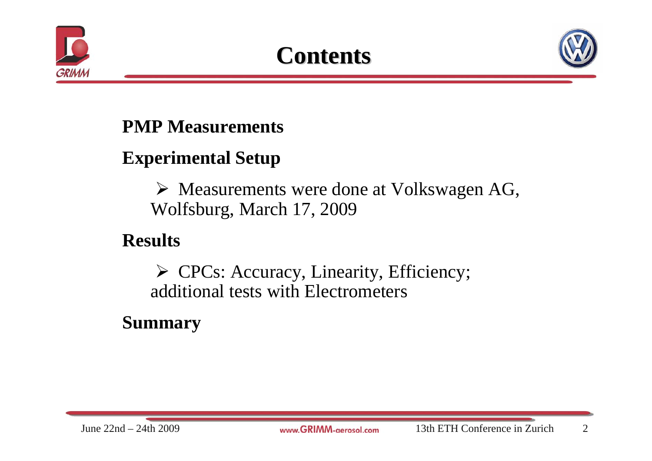



#### **PMP Measurements**

#### **Experimental Setup**

¾ Measurements were done at Volkswagen AG, Wolfsburg, March 17, 2009

#### **Results**

¾ CPCs: Accuracy, Linearity, Efficiency; additional tests with Electrometers

#### **Summary**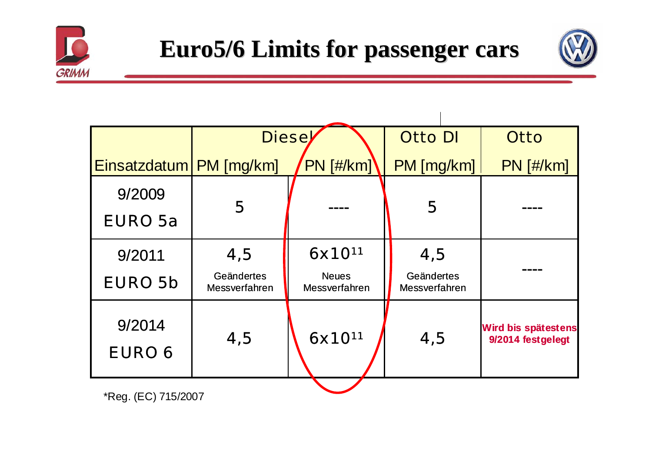

 $\overline{1}$ 



|                           | <b>Diese</b>                |                               | <b>Otto DI</b>              | <b>Otto</b>                              |  |
|---------------------------|-----------------------------|-------------------------------|-----------------------------|------------------------------------------|--|
| Einsatzdatum   PM [mg/km] |                             | <b>PN</b> [#/km]              | PM [mg/km]                  | $PN$ [#/km]                              |  |
| 9/2009                    | 5                           |                               | 5                           |                                          |  |
| <b>EURO 5a</b>            |                             |                               |                             |                                          |  |
| 9/2011                    | 4,5                         | $6x10^{11}$                   | 4,5                         |                                          |  |
| <b>EURO 5b</b>            | Geändertes<br>Messverfahren | <b>Neues</b><br>Messverfahren | Geändertes<br>Messverfahren |                                          |  |
| 9/2014<br><b>EURO 6</b>   | 4,5                         | 6x10 <sup>11</sup>            | 4,5                         | Wird bis spätestens<br>9/2014 festgelegt |  |

\*Reg. (EC) 715/2007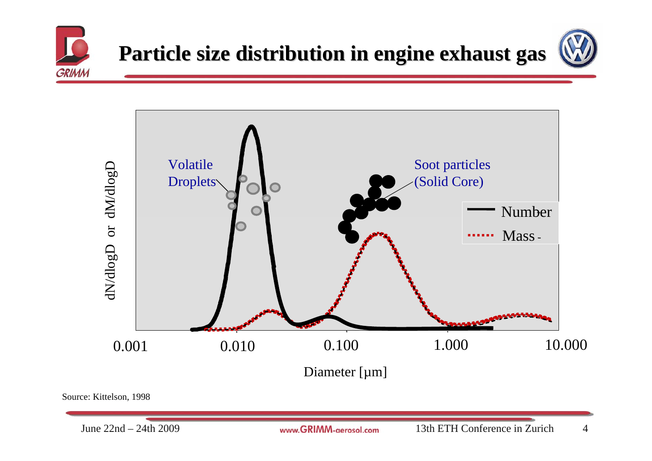





Source: Kittelson, 1998

June 22nd – 24th 2009

www.GRIMM-gerosol.com 13th ETH Conference in Zurich 4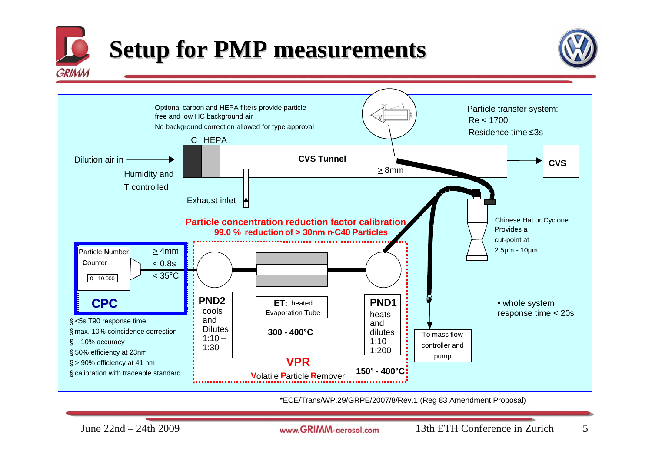

# **Setup for PMP measurements**





\*ECE/Trans/WP.29/GRPE/2007/8/Rev.1 (Reg 83 Amendment Proposal)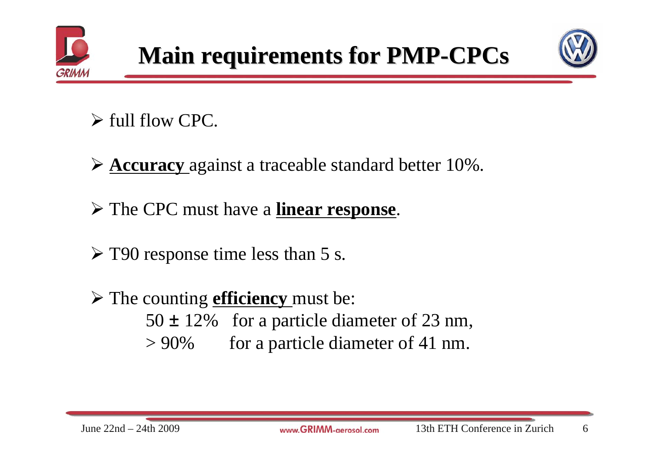





- $\triangleright$  full flow CPC.
- ¾ **Accuracy** against a traceable standard better 10%.
- ¾ The CPC must have a **linear response**.
- ¾ T90 response time less than 5 s.
- ¾ The counting **efficiency** must be:  $50 \pm 12\%$  for a particle diameter of 23 nm,  $> 90\%$  for a particle diameter of 41 nm.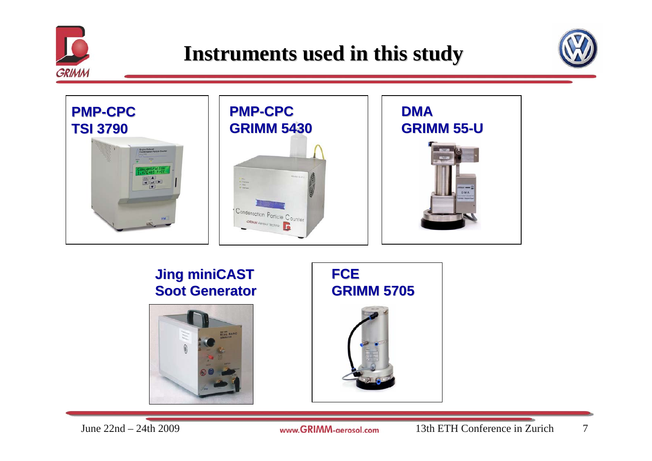





#### **Jing miniCAST Jing miniCAST Soot Generator Soot Generator**



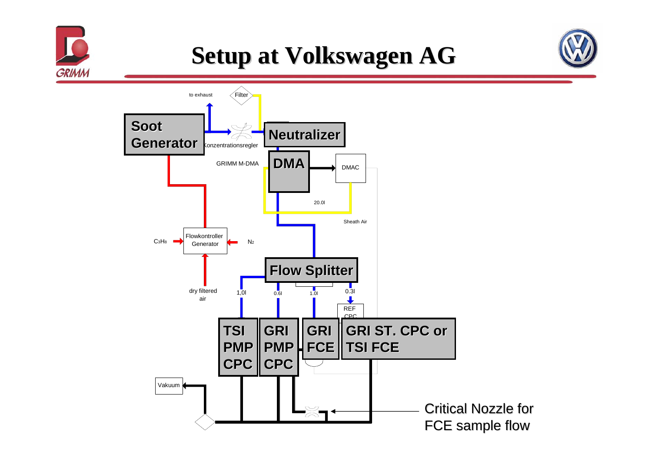

## **Setup at Volkswagen AG**

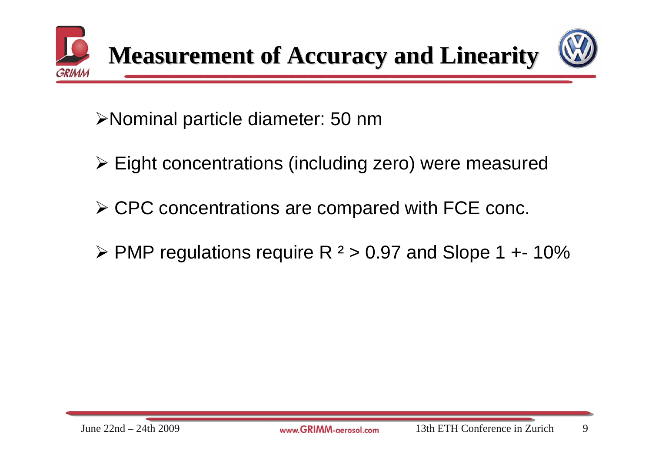



¾Nominal particle diameter: 50 nm

- ¾ Eight concentrations (including zero) were measured
- ¾ CPC concentrations are compared with FCE conc.
- $\triangleright$  PMP regulations require R  $2$  > 0.97 and Slope 1 +- 10%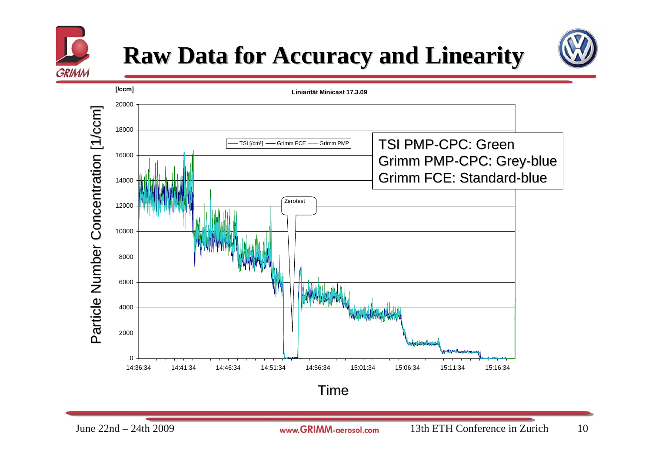

## **Raw Data for Accuracy and Linearity Raw Data for Accuracy and Linearity**



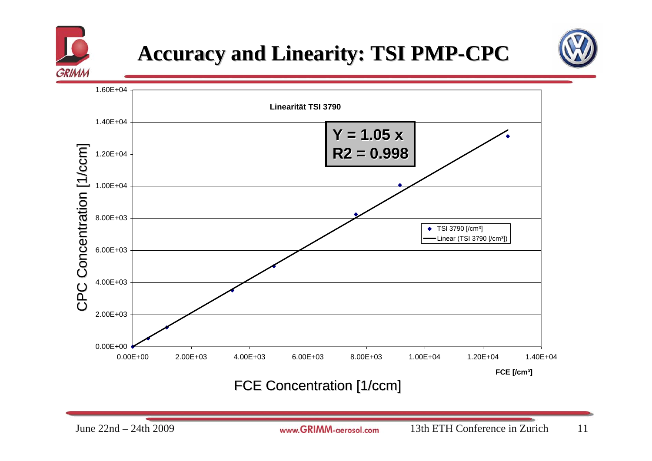

### **Accuracy and Linearity: TSI PMP-CPC**





FCE Concentration [1/ccm] FCE Concentration [1/ccm]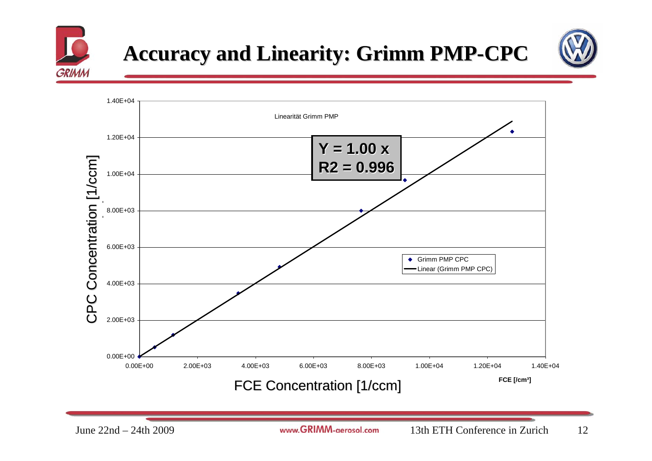

### **Accuracy and Linearity: Grimm PMP Accuracy and Linearity: Grimm PMP-CPC**



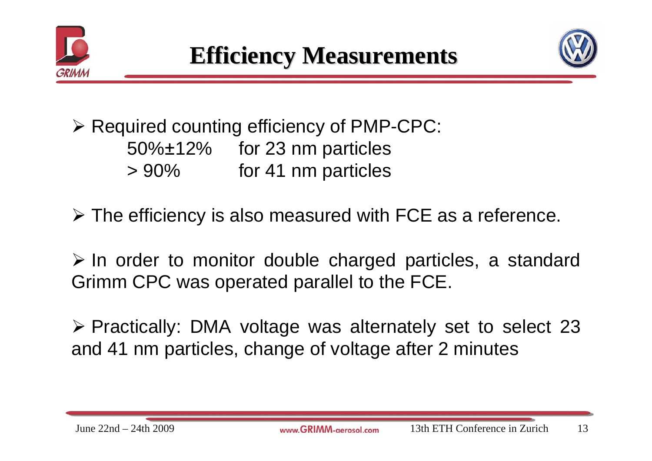



¾ Required counting efficiency of PMP-CPC: 50%±12% for 23 nm particles > 90% for 41 nm particles

¾ The efficiency is also measured with FCE as a reference.

¾ In order to monitor double charged particles, a standard Grimm CPC was operated parallel to the FCE.

¾ Practically: DMA voltage was alternately set to select 23 and 41 nm particles, change of voltage after 2 minutes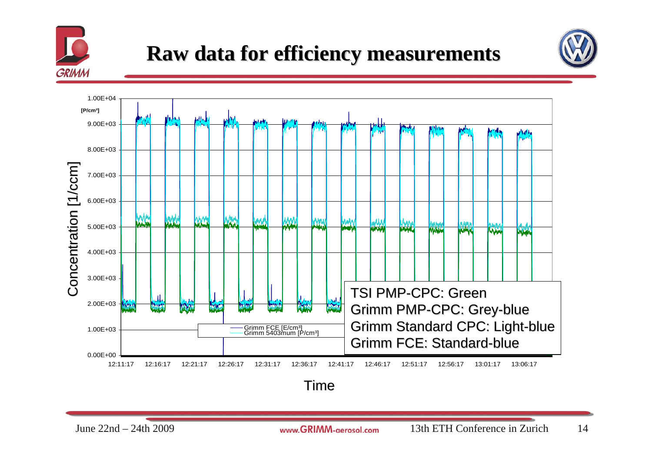

#### **Raw data for efficiency measurements efficiency measurements**





Time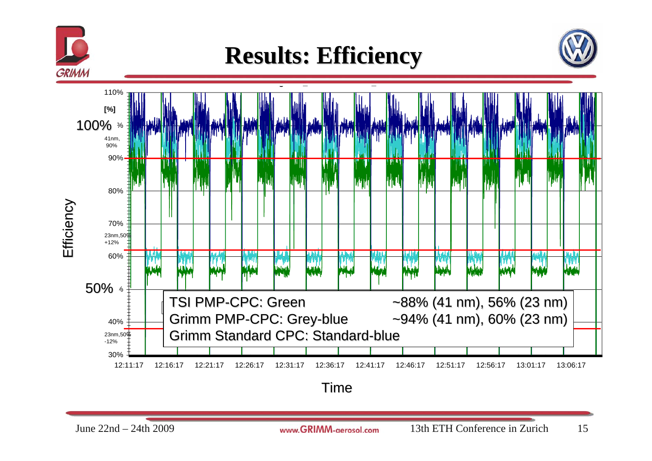

## **Results: Efficiency Results: Efficiency**





Time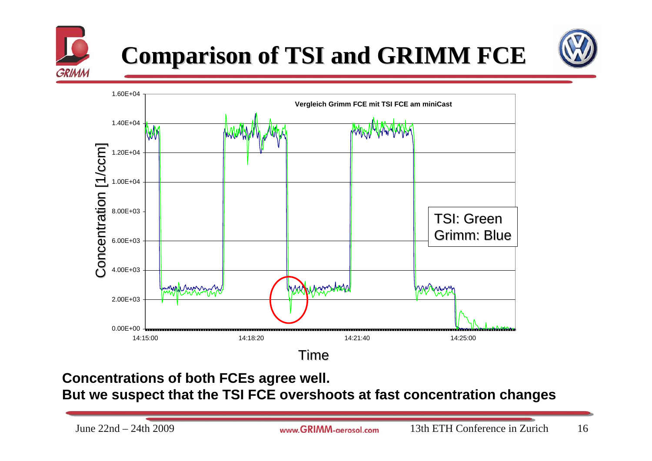

# **Comparison Comparison of TSI and GRIMM of TSI and GRIMM FCE**





**Concentrations of both FCEs agree well. But we suspect that the TSI FCE overshoots at fast concentration changes**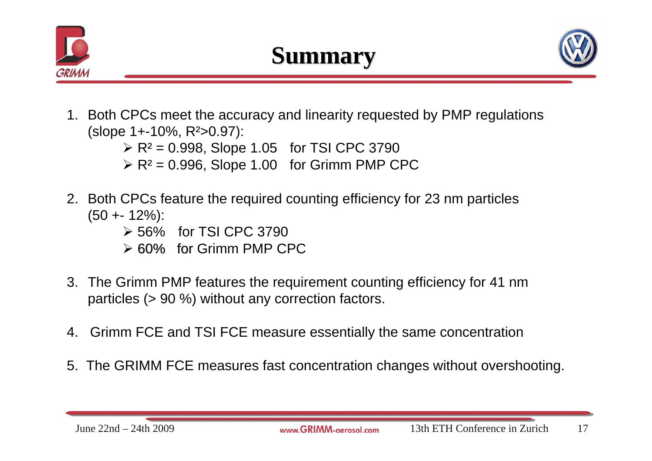





- 1. Both CPCs meet the accuracy and linearity requested by PMP regulations (slope 1+-10%, R²>0.97):
	- $\triangleright$  R<sup>2</sup> = 0.998, Slope 1.05 for TSI CPC 3790
	- $\triangleright$  R<sup>2</sup> = 0.996, Slope 1.00 for Grimm PMP CPC
- 2. Both CPCs feature the required counting efficiency for 23 nm particles  $(50 + 12\%)$ :
	- ¾ 56% for TSI CPC 3790
	- $\geq 60\%$  for Grimm PMP CPC
- 3. The Grimm PMP features the requirement counting efficiency for 41 nm particles (> 90 %) without any correction factors.
- 4. Grimm FCE and TSI FCE measure essentially the same concentration
- 5. The GRIMM FCE measures fast concentration changes without overshooting.